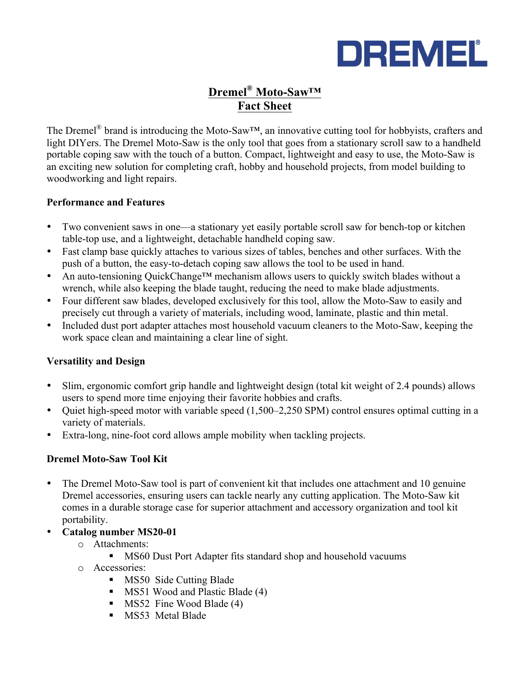

# **Dremel® Moto-Saw™ Fact Sheet**

The Dremel® brand is introducing the Moto-Saw™, an innovative cutting tool for hobbyists, crafters and light DIYers. The Dremel Moto-Saw is the only tool that goes from a stationary scroll saw to a handheld portable coping saw with the touch of a button. Compact, lightweight and easy to use, the Moto-Saw is an exciting new solution for completing craft, hobby and household projects, from model building to woodworking and light repairs.

#### **Performance and Features**

- Two convenient saws in one—a stationary yet easily portable scroll saw for bench-top or kitchen table-top use, and a lightweight, detachable handheld coping saw.
- Fast clamp base quickly attaches to various sizes of tables, benches and other surfaces. With the push of a button, the easy-to-detach coping saw allows the tool to be used in hand.
- An auto-tensioning QuickChange<sup>TM</sup> mechanism allows users to quickly switch blades without a wrench, while also keeping the blade taught, reducing the need to make blade adjustments.
- Four different saw blades, developed exclusively for this tool, allow the Moto-Saw to easily and precisely cut through a variety of materials, including wood, laminate, plastic and thin metal.
- Included dust port adapter attaches most household vacuum cleaners to the Moto-Saw, keeping the work space clean and maintaining a clear line of sight.

## **Versatility and Design**

- Slim, ergonomic comfort grip handle and lightweight design (total kit weight of 2.4 pounds) allows users to spend more time enjoying their favorite hobbies and crafts.
- Quiet high-speed motor with variable speed (1,500–2,250 SPM) control ensures optimal cutting in a variety of materials.
- Extra-long, nine-foot cord allows ample mobility when tackling projects.

## **Dremel Moto-Saw Tool Kit**

- The Dremel Moto-Saw tool is part of convenient kit that includes one attachment and 10 genuine Dremel accessories, ensuring users can tackle nearly any cutting application. The Moto-Saw kit comes in a durable storage case for superior attachment and accessory organization and tool kit portability.
- **Catalog number MS20-01**
	- o Attachments:
		- MS60 Dust Port Adapter fits standard shop and household vacuums
	- o Accessories:
		- MS50 Side Cutting Blade
		- MS51 Wood and Plastic Blade (4)
		- MS52 Fine Wood Blade (4)
		- § MS53 Metal Blade